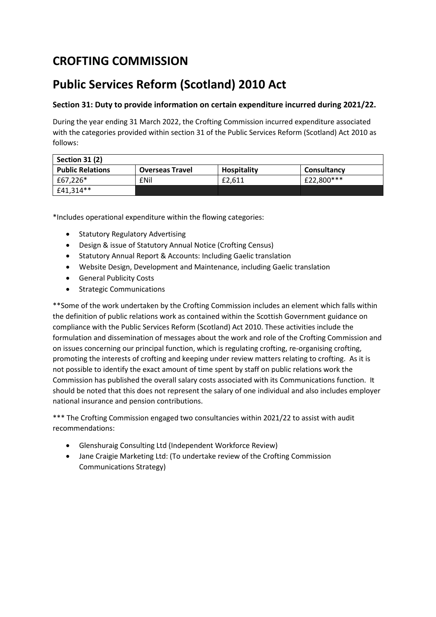## **CROFTING COMMISSION**

## **Public Services Reform (Scotland) 2010 Act**

## **Section 31: Duty to provide information on certain expenditure incurred during 2021/22.**

During the year ending 31 March 2022, the Crofting Commission incurred expenditure associated with the categories provided within section 31 of the Public Services Reform (Scotland) Act 2010 as follows:

| Section 31 (2)          |                        |                    |             |  |
|-------------------------|------------------------|--------------------|-------------|--|
| <b>Public Relations</b> | <b>Overseas Travel</b> | <b>Hospitality</b> | Consultancy |  |
| £67,226*                | <b>f</b> Nil           | £2.611             | £22,800***  |  |
| £41,314**               |                        |                    |             |  |

\*Includes operational expenditure within the flowing categories:

- Statutory Regulatory Advertising
- Design & issue of Statutory Annual Notice (Crofting Census)
- Statutory Annual Report & Accounts: Including Gaelic translation
- Website Design, Development and Maintenance, including Gaelic translation
- General Publicity Costs
- Strategic Communications

\*\*Some of the work undertaken by the Crofting Commission includes an element which falls within the definition of public relations work as contained within the Scottish Government guidance on compliance with the Public Services Reform (Scotland) Act 2010. These activities include the formulation and dissemination of messages about the work and role of the Crofting Commission and on issues concerning our principal function, which is regulating crofting, re-organising crofting, promoting the interests of crofting and keeping under review matters relating to crofting. As it is not possible to identify the exact amount of time spent by staff on public relations work the Commission has published the overall salary costs associated with its Communications function. It should be noted that this does not represent the salary of one individual and also includes employer national insurance and pension contributions.

\*\*\* The Crofting Commission engaged two consultancies within 2021/22 to assist with audit recommendations:

- Glenshuraig Consulting Ltd (Independent Workforce Review)
- Jane Craigie Marketing Ltd: (To undertake review of the Crofting Commission Communications Strategy)